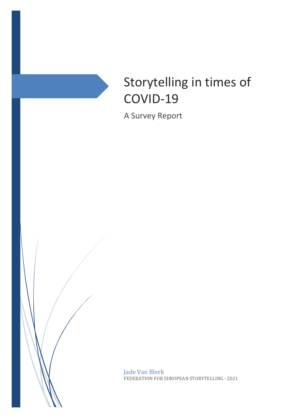

# Storytelling in times of COVID-19

A Survey Report

Jade Van Blerk FEDERATION FOR EUROPEAN STORYTELLING - 2021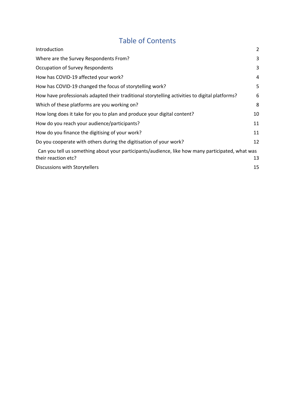# Table of Contents

| Introduction                                                                                                            | $\overline{2}$ |
|-------------------------------------------------------------------------------------------------------------------------|----------------|
| Where are the Survey Respondents From?                                                                                  | 3              |
| Occupation of Survey Respondents                                                                                        | 3              |
| How has COVID-19 affected your work?                                                                                    | 4              |
| How has COVID-19 changed the focus of storytelling work?                                                                | 5              |
| How have professionals adapted their traditional storytelling activities to digital platforms?                          | 6              |
| Which of these platforms are you working on?                                                                            | 8              |
| How long does it take for you to plan and produce your digital content?                                                 | 10             |
| How do you reach your audience/participants?                                                                            | 11             |
| How do you finance the digitising of your work?                                                                         | 11             |
| Do you cooperate with others during the digitisation of your work?                                                      | 12             |
| Can you tell us something about your participants/audience, like how many participated, what was<br>their reaction etc? | 13             |
| Discussions with Storytellers                                                                                           | 15             |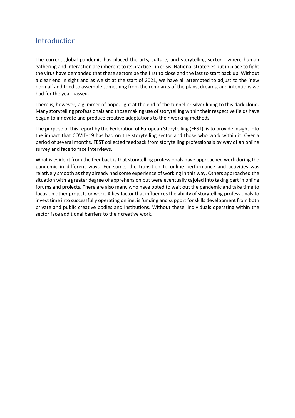### **Introduction**

The current global pandemic has placed the arts, culture, and storytelling sector - where human gathering and interaction are inherent to its practice - in crisis. National strategies put in place to fight the virus have demanded that these sectors be the first to close and the last to start back up. Without a clear end in sight and as we sit at the start of 2021, we have all attempted to adjust to the 'new normal' and tried to assemble something from the remnants of the plans, dreams, and intentions we had for the year passed.

There is, however, a glimmer of hope, light at the end of the tunnel or silver lining to this dark cloud. Many storytelling professionals and those making use of storytelling within their respective fields have begun to innovate and produce creative adaptations to their working methods.

The purpose of this report by the Federation of European Storytelling (FEST), is to provide insight into the impact that COVID-19 has had on the storytelling sector and those who work within it. Over a period of several months, FEST collected feedback from storytelling professionals by way of an online survey and face to face interviews.

What is evident from the feedback is that storytelling professionals have approached work during the pandemic in different ways. For some, the transition to online performance and activities was relatively smooth as they already had some experience of working in this way. Others approached the situation with a greater degree of apprehension but were eventually cajoled into taking part in online forums and projects. There are also many who have opted to wait out the pandemic and take time to focus on other projects or work. A key factor that influences the ability of storytelling professionals to invest time into successfully operating online, is funding and support for skills development from both private and public creative bodies and institutions. Without these, individuals operating within the sector face additional barriers to their creative work.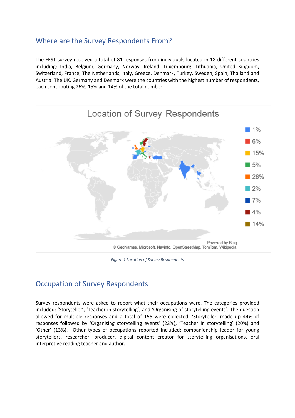### Where are the Survey Respondents From?

The FEST survey received a total of 81 responses from individuals located in 18 different countries including: India, Belgium, Germany, Norway, Ireland, Luxembourg, Lithuania, United Kingdom, Switzerland, France, The Netherlands, Italy, Greece, Denmark, Turkey, Sweden, Spain, Thailand and Austria. The UK, Germany and Denmark were the countries with the highest number of respondents, each contributing 26%, 15% and 14% of the total number.



*Figure 1 Location of Survey Respondents*

### Occupation of Survey Respondents

Survey respondents were asked to report what their occupations were. The categories provided included: 'Storyteller', 'Teacher in storytelling', and 'Organising of storytelling events'. The question allowed for multiple responses and a total of 155 were collected. 'Storyteller' made up 44% of responses followed by 'Organising storytelling events' (23%), 'Teacher in storytelling' (20%) and 'Other' (13%). Other types of occupations reported included: companionship leader for young storytellers, researcher, producer, digital content creator for storytelling organisations, oral interpretive reading teacher and author.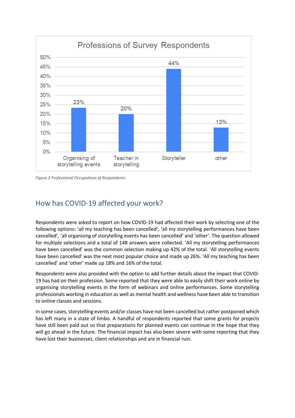

*Figure 2 Professional Occupations of Respondents*

### How has COVID-19 affected your work?

Respondents were asked to report on how COVID-19 had affected their work by selecting one of the following options: 'all my teaching has been cancelled', 'all my storytelling performances have been cancelled', 'all organising of storytelling events has been cancelled' and 'other'. The question allowed for multiple selections and a total of 148 answers were collected. 'All my storytelling performances have been cancelled' was the common selection making up 42% of the total. 'All storytelling events have been cancelled' was the next most popular choice and made up 26%. 'All my teaching has been cancelled' and 'other' made up 18% and 16% of the total.

Respondents were also provided with the option to add further details about the impact that COVID-19 has had on their profession. Some reported that they were able to easily shift their work online by organising storytelling events in the form of webinars and online performances. Some storytelling professionals working in education as well as mental health and wellness have been able to transition to online classes and sessions.

In some cases, storytelling events and/or classes have not been cancelled but rather postponed which has left many in a state of limbo. A handful of respondents reported that some grants for projects have still been paid out so that preparations for planned events can continue in the hope that they will go ahead in the future. The financial impact has also been severe with some reporting that they have lost their businesses, client relationships and are in financial ruin.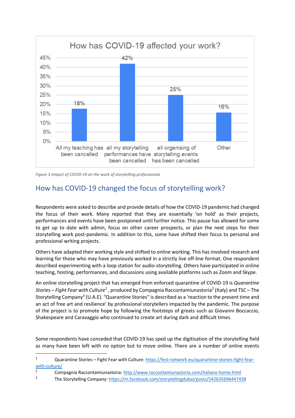

*Figure 3 Impact of COVID-19 on the work of storytelling professionals*

# How has COVID-19 changed the focus of storytelling work?

Respondents were asked to describe and provide details of how the COVID-19 pandemic had changed the focus of their work. Many reported that they are essentially 'on hold' as their projects, performances and events have been postponed until further notice. This pause has allowed for some to get up to date with admin, focus on other career prospects, or plan the next steps for their storytelling work post-pandemic. In addition to this, some have shifted their focus to personal and professional writing projects.

Others have adapted their working style and shifted to online working. This has involved research and learning for those who may have previously worked in a strictly live off-line format. One respondent described experimenting with a loop station for audio-storytelling. Others have participated in online teaching, hosting, performances, and discussions using available platforms such as Zoom and Skype.

An online storytelling project that has emerged from enforced quarantine of COVID-19 is *Quarantine Stories – Fight Fear with Culture<sup>1</sup>* , produced by Compagnia Raccontamiunastoria2 (Italy) and TSC – The Storytelling Company<sup>3</sup> (U.A.E). "Quarantine Stories" is described as a 'reaction to the present time and an act of free art and resilience' by professional storytellers impacted by the pandemic. The purpose of the project is to promote hope by following the footsteps of greats such as Giovanni Boccaccio, Shakespeare and Caravaggio who continued to create art during dark and difficult times.

Some respondents have conceded that COVID-19 has sped up the digitisation of the storytelling field as many have been left with no option but to move online. There are a number of online events

<sup>1</sup> Quarantine Stories – Fight Fear with Culture: https://fest-network.eu/quarantine-stories-fight-fearwith-culture/

<sup>2</sup> Compagnia Raccontamiunastoria:  $\frac{http://www.raccontaminunastoria.com/italiano-home.html}{\text{The Stentelling Common with } (measobosles.com/totallinedubis/moste/EA262E00644742})$ 

<sup>3</sup> The Storytelling Company: https://m.facebook.com/storytellingdubai/posts/542635696447438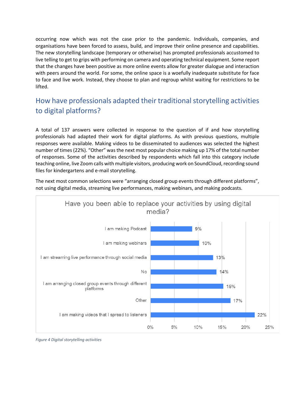occurring now which was not the case prior to the pandemic. Individuals, companies, and organisations have been forced to assess, build, and improve their online presence and capabilities. The new storytelling landscape (temporary or otherwise) has prompted professionals accustomed to live telling to get to grips with performing on camera and operating technical equipment. Some report that the changes have been positive as more online events allow for greater dialogue and interaction with peers around the world. For some, the online space is a woefully inadequate substitute for face to face and live work. Instead, they choose to plan and regroup whilst waiting for restrictions to be lifted.

# How have professionals adapted their traditional storytelling activities to digital platforms?

A total of 137 answers were collected in response to the question of if and how storytelling professionals had adapted their work for digital platforms. As with previous questions, multiple responses were available. Making videos to be disseminated to audiences was selected the highest number of times (22%). "Other" was the next most popular choice making up 17% of the total number of responses. Some of the activities described by respondents which fall into this category include teaching online, live Zoom calls with multiple visitors, producing work on SoundCloud, recording sound files for kindergartens and e-mail storytelling.

The next most common selections were "arranging closed group events through different platforms", not using digital media, streaming live performances, making webinars, and making podcasts.



*Figure 4 Digital storytelling activities*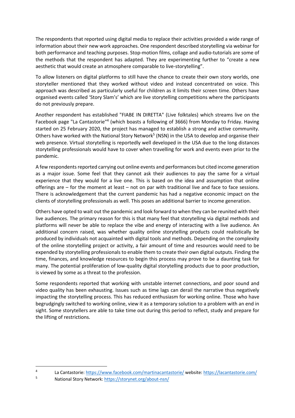The respondents that reported using digital media to replace their activities provided a wide range of information about their new work approaches. One respondent described storytelling via webinar for both performance and teaching purposes. Stop-motion films, collage and audio-tutorials are some of the methods that the respondent has adapted. They are experimenting further to "create a new aesthetic that would create an atmosphere comparable to live-storytelling".

To allow listeners on digital platforms to still have the chance to create their own story worlds, one storyteller mentioned that they worked without video and instead concentrated on voice. This approach was described as particularly useful for children as it limits their screen time. Others have organised events called 'Story Slam's' which are live storytelling competitions where the participants do not previously prepare.

Another respondent has established "FIABE IN DIRETTA" (Live folktales) which streams live on the Facebook page "La Cantastorie"<sup>4</sup> (which boasts a following of 3666) from Monday to Friday. Having started on 25 February 2020, the project has managed to establish a strong and active community. Others have worked with the National Story Network<sup>5</sup> (NSN) in the USA to develop and organise their web presence. Virtual storytelling is reportedly well developed in the USA due to the long distances storytelling professionals would have to cover when travelling for work and events even prior to the pandemic.

A few respondents reported carrying out online events and performances but cited income generation as a major issue. Some feel that they cannot ask their audiences to pay the same for a virtual experience that they would for a live one. This is based on the idea and assumption that online offerings are – for the moment at least – not on par with traditional live and face to face sessions. There is acknowledgement that the current pandemic has had a negative economic impact on the clients of storytelling professionals as well. This poses an additional barrier to income generation.

Others have opted to wait out the pandemic and look forward to when they can be reunited with their live audiences. The primary reason for this is that many feel that storytelling via digital methods and platforms will never be able to replace the vibe and energy of interacting with a live audience. An additional concern raised, was whether quality online storytelling products could realistically be produced by individuals not acquainted with digital tools and methods. Depending on the complexity of the online storytelling project or activity, a fair amount of time and resources would need to be expended by storytelling professionals to enable them to create their own digital outputs. Finding the time, finances, and knowledge resources to begin this process may prove to be a daunting task for many. The potential proliferation of low-quality digital storytelling products due to poor production, is viewed by some as a threat to the profession.

Some respondents reported that working with unstable internet connections, and poor sound and video quality has been exhausting. Issues such as time lags can derail the narrative thus negatively impacting the storytelling process. This has reduced enthusiasm for working online. Those who have begrudgingly switched to working online, view it as a temporary solution to a problem with an end in sight. Some storytellers are able to take time out during this period to reflect, study and prepare for the lifting of restrictions.

<sup>4</sup> La Cantastorie: https://www.facebook.com/martinacantastorie/ website: https://lacantastorie.com/<br>5 National Story Network: https://storynet.org/about-psp/

National Story Network: https://storynet.org/about-nsn/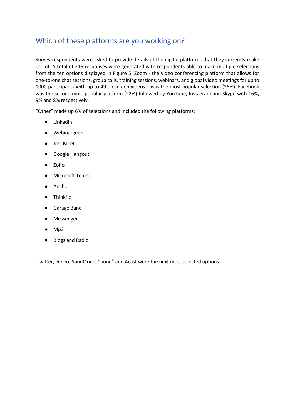### Which of these platforms are you working on?

Survey respondents were asked to provide details of the digital platforms that they currently make use of. A total of 216 responses were generated with respondents able to make multiple selections from the ten options displayed in Figure 5. Zoom - the video conferencing platform that allows for one-to-one chat sessions, group calls, training sessions, webinars, and global video meetings for up to 1000 participants with up to 49 on screen videos – was the most popular selection (25%). Facebook was the second most popular platform (22%) followed by YouTube, Instagram and Skype with 16%, 9% and 8% respectively.

"Other" made up 6% of selections and included the following platforms:

- Linkedin
- Webinargeek
- Jitsi Meet
- Google Hangout
- Zoho
- Microsoft Teams
- Anchor
- Thinkfic
- Garage Band
- Messenger
- $Mp3$
- Blogs and Radio

Twitter, vimeo, SoudCloud, "none" and Acast were the next most selected options.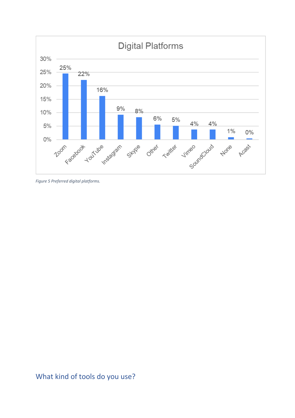

*Figure 5 Preferred digital platforms.*

# What kind of tools do you use?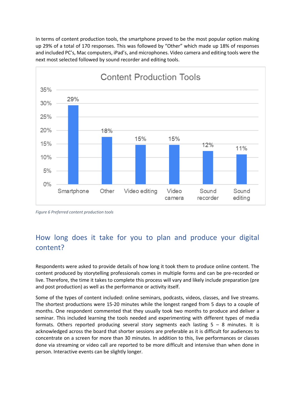In terms of content production tools, the smartphone proved to be the most popular option making up 29% of a total of 170 responses. This was followed by "Other" which made up 18% of responses and included PC's, Mac computers, iPad's, and microphones. Video camera and editing tools were the next most selected followed by sound recorder and editing tools.



*Figure 6 Preferred content production tools*

# How long does it take for you to plan and produce your digital content?

Respondents were asked to provide details of how long it took them to produce online content. The content produced by storytelling professionals comes in multiple forms and can be pre-recorded or live. Therefore, the time it takes to complete this process will vary and likely include preparation (pre and post production) as well as the performance or activity itself.

Some of the types of content included: online seminars, podcasts, videos, classes, and live streams. The shortest productions were 15-20 minutes while the longest ranged from 5 days to a couple of months. One respondent commented that they usually took two months to produce and deliver a seminar. This included learning the tools needed and experimenting with different types of media formats. Others reported producing several story segments each lasting 5 – 8 minutes. It is acknowledged across the board that shorter sessions are preferable as it is difficult for audiences to concentrate on a screen for more than 30 minutes. In addition to this, live performances or classes done via streaming or video call are reported to be more difficult and intensive than when done in person. Interactive events can be slightly longer.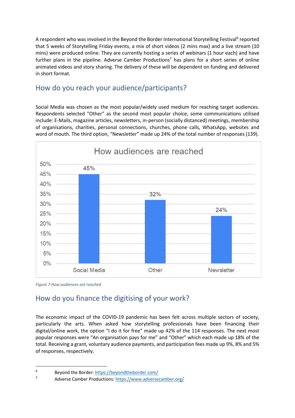A respondent who was involved in the Beyond the Border International Storytelling Festival<sup>6</sup> reported that 5 weeks of Storytelling Friday events, a mix of short videos (2 mins max) and a live stream (10 mins) were produced online. They are currently hosting a series of webinars (1 hour each) and have further plans in the pipeline. Adverse Camber Productions<sup>7</sup> has plans for a short series of online animated videos and story sharing. The delivery of these will be dependent on funding and delivered in short format.

### How do you reach your audience/participants?

Social Media was chosen as the most popular/widely used medium for reaching target audiences. Respondents selected "Other" as the second most popular choice, some communications utilised include: E-Mails, magazine articles, newsletters, in-person (socially distanced) meetings, membership of organisations, charities, personal connections, churches, phone calls, WhatsApp, websites and word of mouth. The third option, "Newsletter" made up 24% of the total number of responses (139).



*Figure 7 How audiences are reached*

# How do you finance the digitising of your work?

The economic impact of the COVID-19 pandemic has been felt across multiple sectors of society, particularly the arts. When asked how storytelling professionals have been financing their digital/online work, the option "I do it for free" made up 42% of the 114 responses. The next most popular responses were "An organisation pays for me" and "Other" which each made up 18% of the total. Receiving a grant, voluntary audience payments, and participation fees made up 9%, 8% and 5% of responses, respectively.

 $^{6}$  Beyond the Border:  $\frac{https://beyondtheborder.com/}{https://beyondtheborder.com/})$ 

Adverse Camber Productions: https://www.adversecamber.org/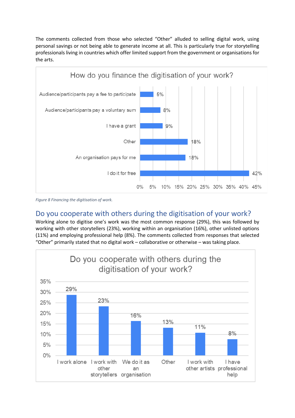The comments collected from those who selected "Other" alluded to selling digital work, using personal savings or not being able to generate income at all. This is particularly true for storytelling professionals living in countries which offer limited support from the government or organisations for the arts.



*Figure 8 Financing the digitisation of work.*

# Do you cooperate with others during the digitisation of your work?

Working alone to digitise one's work was the most common response (29%), this was followed by working with other storytellers (23%), working within an organisation (16%), other unlisted options (11%) and employing professional help (8%). The comments collected from responses that selected "Other" primarily stated that no digital work – collaborative or otherwise – was taking place.

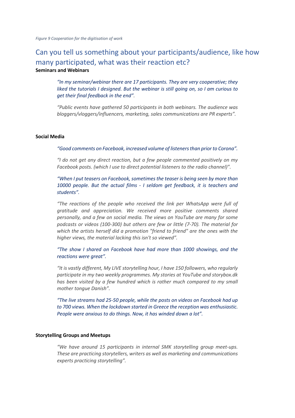### Can you tell us something about your participants/audience, like how many participated, what was their reaction etc? **Seminars and Webinars**

*"In my seminar/webinar there are 17 participants. They are very cooperative; they liked the tutorials I designed. But the webinar is still going on, so I am curious to get their final feedback in the end".*

*"Public events have gathered 50 participants in both webinars. The audience was bloggers/vloggers/influencers, marketing, sales communications are PR experts".*

#### **Social Media**

*"Good comments on Facebook, increased volume of listeners than prior to Corona".*

*"I do not get any direct reaction, but a few people commented positively on my Facebook posts. (which I use to direct potential listeners to the radio channel)".*

*"When I put teasers on Facebook, sometimes the teaser is being seen by more than 10000 people. But the actual films - I seldom get feedback, it is teachers and students".*

*"The reactions of the people who received the link per WhatsApp were full of gratitude and appreciation. We received more positive comments shared personally, and a few on social media. The views on YouTube are many for some podcasts or videos (100-300) but others are few or little (7-70). The material for which the artists herself did a promotion "friend to friend" are the ones with the higher views, the material lacking this isn't so viewed".*

*"The show I shared on Facebook have had more than 1000 showings, and the reactions were great".*

*"It is vastly different, My LIVE storytelling hour, I have 150 followers, who regularly participate in my two weekly programmes. My stories at YouTube and storybox.dk has been visited by a few hundred which is rather much compared to my small mother tongue Danish".*

*"The live streams had 25-50 people, while the posts on videos on Facebook had up to 700 views. When the lockdown started in Greece the reception was enthusiastic. People were anxious to do things. Now, it has winded down a lot".*

#### **Storytelling Groups and Meetups**

*"We have around 15 participants in internal SMK storytelling group meet-ups. These are practicing storytellers, writers as well as marketing and communications experts practicing storytelling".*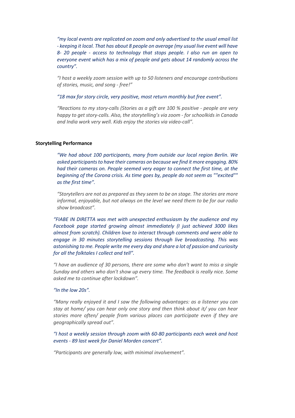*"my local events are replicated on zoom and only advertised to the usual email list - keeping it local. That has about 8 people on average (my usual live event will have 8- 20 people - access to technology that stops people. I also run an open to everyone event which has a mix of people and gets about 14 randomly across the country".*

*"I host a weekly zoom session with up to 50 listeners and encourage contributions of stories, music, and song - free!"*

*"18 max for story circle, very positive, most return monthly but free event".*

*"Reactions to my story-calls (Stories as a gift are 100 % positive - people are very happy to get story-calls. Also, the storytelling's via zoom - for schoolkids in Canada and India work very well. Kids enjoy the stories via video-call".*

#### **Storytelling Performance**

*"We had about 100 participants, many from outside our local region Berlin. We asked participants to have their cameras on because we find it more engaging. 80% had their cameras on. People seemed very eager to connect the first time, at the beginning of the Corona crisis. As time goes by, people do not seem as ""excited"" as the first time".*

*"Storytellers are not as prepared as they seem to be on stage. The stories are more informal, enjoyable, but not always on the level we need them to be for our radio show broadcast".*

*"FIABE IN DIRETTA was met with unexpected enthusiasm by the audience and my Facebook page started growing almost immediately (I just achieved 3000 likes almost from scratch). Children love to interact through comments and were able to engage in 30 minutes storytelling sessions through live broadcasting. This was astonishing to me. People write me every day and share a lot of passion and curiosity for all the folktales I collect and tell".*

*"I have an audience of 30 persons, there are some who don't want to miss a single Sunday and others who don't show up every time. The feedback is really nice. Some asked me to continue after lockdown".*

#### *"In the low 20s".*

*"Many really enjoyed it and I saw the following advantages: as a listener you can stay at home/ you can hear only one story and then think about it/ you can hear stories more often/ people from various places can participate even if they are geographically spread out".*

*"I host a weekly session through zoom with 60-80 participants each week and host events - 89 last week for Daniel Morden concert".*

*"Participants are generally low, with minimal involvement".*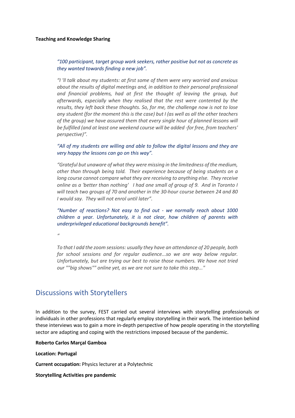#### *"100 participant, target group work seekers, rather positive but not as concrete as they wanted towards finding a new job".*

*"I 'll talk about my students: at first some of them were very worried and anxious about the results of digital meetings and, in addition to their personal professional and financial problems, had at first the thought of leaving the group, but afterwards, especially when they realised that the rest were contented by the results, they left back these thoughts. So, for me, the challenge now is not to lose any student (for the moment this is the case) but I (as well as all the other teachers of the group) we have assured them that every single hour of planned lessons will be fulfilled (and at least one weekend course will be added -for free, from teachers' perspective)".*

*"All of my students are willing and able to follow the digital lessons and they are very happy the lessons can go on this way".*

*"Grateful but unaware of what they were missing in the limitedness of the medium, other than through being told. Their experience because of being students on a long course cannot compare what they are receiving to anything else. They receive online as a 'better than nothing' I had one small of group of 9. And in Toronto I will teach two groups of 70 and another in the 30-hour course between 24 and 80 I would say. They will not enrol until later".*

*"Number of reactions? Not easy to find out - we normally reach about 1000 children a year. Unfortunately, it is not clear, how children of parents with underprivileged educational backgrounds benefit".*

*"*

*To that I add the zoom sessions: usually they have an attendance of 20 people, both for school sessions and for regular audience...so we are way below regular. Unfortunately, but are trying our best to raise those numbers. We have not tried our ""big shows"" online yet, as we are not sure to take this step..."*

### Discussions with Storytellers

In addition to the survey, FEST carried out several interviews with storytelling professionals or individuals in other professions that regularly employ storytelling in their work. The intention behind these interviews was to gain a more in-depth perspective of how people operating in the storytelling sector are adapting and coping with the restrictions imposed because of the pandemic.

#### **Roberto Carlos Marçal Gamboa**

#### **Location: Portugal**

**Current occupation:** Physics lecturer at a Polytechnic

#### **Storytelling Activities pre pandemic**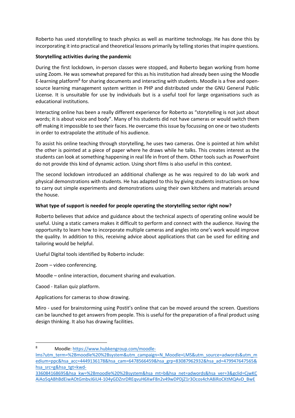Roberto has used storytelling to teach physics as well as maritime technology. He has done this by incorporating it into practical and theoretical lessons primarily by telling stories that inspire questions.

#### **Storytelling activities during the pandemic**

During the first lockdown, in-person classes were stopped, and Roberto began working from home using Zoom. He was somewhat prepared for this as his institution had already been using the Moodle E-learning platform<sup>8</sup> for sharing documents and interacting with students. Moodle is a free and opensource learning management system written in PHP and distributed under the GNU General Public License. It is unsuitable for use by individuals but is a useful tool for large organisations such as educational institutions.

Interacting online has been a really different experience for Roberto as "storytelling is not just about words; it is about voice and body". Many of his students did not have cameras or would switch them off making it impossible to see their faces. He overcame this issue by focussing on one or two students in order to extrapolate the attitude of his audience.

To assist his online teaching through storytelling, he uses two cameras. One is pointed at him whilst the other is pointed at a piece of paper where he draws while he talks. This creates interest as the students can look at something happening in real life in front of them. Other tools such as PowerPoint do not provide this kind of dynamic action. Using short films is also useful in this context.

The second lockdown introduced an additional challenge as he was required to do lab work and physical demonstrations with students. He has adapted to this by giving students instructions on how to carry out simple experiments and demonstrations using their own kitchens and materials around the house.

#### **What type of support is needed for people operating the storytelling sector right now?**

Roberto believes that advice and guidance about the technical aspects of operating online would be useful. Using a static camera makes it difficult to perform and connect with the audience. Having the opportunity to learn how to incorporate multiple cameras and angles into one's work would improve the quality. In addition to this, receiving advice about applications that can be used for editing and tailoring would be helpful.

Useful Digital tools identified by Roberto include:

Zoom – video conferencing.

Moodle – online interaction, document sharing and evaluation.

Caood - Italian quiz platform.

Applications for cameras to show drawing.

Miro - used for brainstorming using Postit's online that can be moved around the screen. Questions can be launched to get answers from people. This is useful for the preparation of a final product using design thinking. It also has drawing facilities.

<sup>8</sup> Moodle: https://www.hubkengroup.com/moodle-

lms?utm\_term=%2Bmoodle%20%2Bsystem&utm\_campaign=N\_Moodle+LMS&utm\_source=adwords&utm\_m edium=ppc&hsa\_acc=4449136178&hsa\_cam=6478566459&hsa\_grp=83087962932&hsa\_ad=479947647565& hsa\_src=g&hsa\_tgt=kwd-

<sup>336084168695&</sup>amp;hsa\_kw=%2Bmoodle%20%2Bsystem&hsa\_mt=b&hsa\_net=adwords&hsa\_ver=3&gclid=CjwKC AiAo5qABhBdEiwAOtGmbvJ6iU4-104yGDZnrDREqvuH6XwF8n2v49wDPDjZ1r3Ocos4chA8iRoCKtMQAvD\_BwE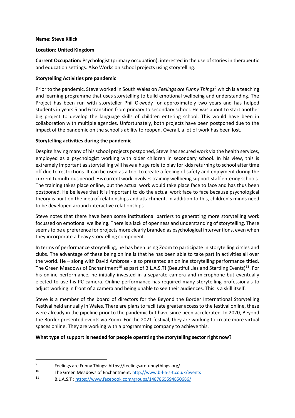#### **Name: Steve Kilick**

#### **Location: United Kingdom**

**Current Occupation:** Psychologist (primary occupation), interested in the use of stories in therapeutic and education settings. Also Works on school projects using storytelling.

#### **Storytelling Activities pre pandemic**

Prior to the pandemic, Steve worked in South Wales on *Feelings are Funny Things9* which is a teaching and learning programme that uses storytelling to build emotional wellbeing and understanding. The Project has been run with storyteller Phil Okwedy for approximately two years and has helped students in years 5 and 6 transition from primary to secondary school. He was about to start another big project to develop the language skills of children entering school. This would have been in collaboration with multiple agencies. Unfortunately, both projects have been postponed due to the impact of the pandemic on the school's ability to reopen. Overall, a lot of work has been lost.

#### **Storytelling activities during the pandemic**

Despite having many of his school projects postponed, Steve has secured work via the health services, employed as a psychologist working with older children in secondary school. In his view, this is extremely important as storytelling will have a huge role to play for kids returning to school after time off due to restrictions. It can be used as a tool to create a feeling of safety and enjoyment during the current tumultuous period. His current work involves training wellbeing support staff entering schools. The training takes place online, but the actual work would take place face to face and has thus been postponed. He believes that it is important to do the actual work face to face because psychological theory is built on the idea of relationships and attachment. In addition to this, children's minds need to be developed around interactive relationships.

Steve notes that there have been some institutional barriers to generating more storytelling work focussed on emotional wellbeing. There is a lack of openness and understanding of storytelling. There seems to be a preference for projects more clearly branded as psychological interventions, even when they incorporate a heavy storytelling component.

In terms of performance storytelling, he has been using Zoom to participate in storytelling circles and clubs. The advantage of these being online is that he has been able to take part in activities all over the world. He – along with David Ambrose - also presented an online storytelling performance titled, The Green Meadows of Enchantment<sup>10</sup> as part of B.L.A.S.T! (Beautiful Lies and Startling Events)<sup>11</sup>. For his online performance, he initially invested in a separate camera and microphone but eventually elected to use his PC camera. Online performance has required many storytelling professionals to adjust working in front of a camera and being unable to see their audiences. This is a skill itself.

Steve is a member of the board of directors for the Beyond the Border International Storytelling Festival held annually in Wales. There are plans to facilitate greater access to the festival online, these were already in the pipeline prior to the pandemic but have since been accelerated. In 2020, Beyond the Border presented events via Zoom. For the 2021 festival, they are working to create more virtual spaces online. They are working with a programming company to achieve this.

#### **What type of support is needed for people operating the storytelling sector right now?**

<sup>&</sup>lt;sup>9</sup> Feelings are Funny Things: https://feelingsarefunnythings.org/<br><sup>10</sup> The Crean Magdaws of Enghantments https://www.b.l.a.s.t.com

<sup>10</sup> The Green Meadows of Enchantment:  $\frac{http://www.b-l-a-s-t.co.uk/events}{p_1 \wedge s_T \cdot httne://www.facehook.com/groups/1487865594850686/$ 

<sup>11</sup> B.L.A.S.T : https://www.facebook.com/groups/1487865594850686/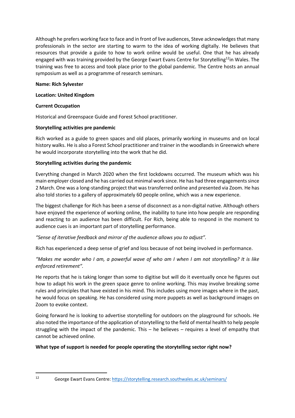Although he prefers working face to face and in front of live audiences, Steve acknowledges that many professionals in the sector are starting to warm to the idea of working digitally. He believes that resources that provide a guide to how to work online would be useful. One that he has already engaged with was training provided by the George Ewart Evans Centre for Storytelling<sup>12</sup>in Wales. The training was free to access and took place prior to the global pandemic. The Centre hosts an annual symposium as well as a programme of research seminars.

#### **Name: Rich Sylvester**

#### **Location: United Kingdom**

#### **Current Occupation**

Historical and Greenspace Guide and Forest School practitioner.

#### **Storytelling activities pre pandemic**

Rich worked as a guide to green spaces and old places, primarily working in museums and on local history walks. He is also a Forest School practitioner and trainer in the woodlands in Greenwich where he would incorporate storytelling into the work that he did.

#### **Storytelling activities during the pandemic**

Everything changed in March 2020 when the first lockdowns occurred. The museum which was his main employer closed and he has carried out minimal work since. He has had three engagements since 2 March. One was a long-standing project that was transferred online and presented via Zoom. He has also told stories to a gallery of approximately 60 people online, which was a new experience.

The biggest challenge for Rich has been a sense of disconnect as a non-digital native. Although others have enjoyed the experience of working online, the inability to tune into how people are responding and reacting to an audience has been difficult. For Rich, being able to respond in the moment to audience cues is an important part of storytelling performance.

#### *"Sense of iterative feedback and mirror of the audience allows you to adjust".*

Rich has experienced a deep sense of grief and loss because of not being involved in performance.

*"Makes me wonder who I am, a powerful wave of who am I when I am not storytelling? It is like enforced retirement".*

He reports that he is taking longer than some to digitise but will do it eventually once he figures out how to adapt his work in the green space genre to online working. This may involve breaking some rules and principles that have existed in his mind. This includes using more images where in the past, he would focus on speaking. He has considered using more puppets as well as background images on Zoom to evoke context.

Going forward he is looking to advertise storytelling for outdoors on the playground for schools. He also noted the importance of the application of storytelling to the field of mental health to help people struggling with the impact of the pandemic. This – he believes – requires a level of empathy that cannot be achieved online.

#### **What type of support is needed for people operating the storytelling sector right now?**

<sup>12</sup> George Ewart Evans Centre: https://storytelling.research.southwales.ac.uk/seminars/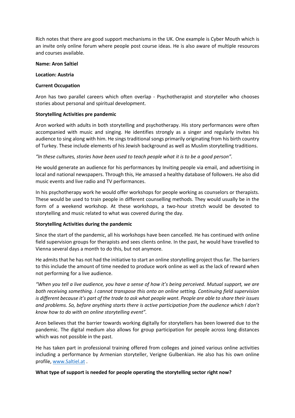Rich notes that there are good support mechanisms in the UK. One example is Cyber Mouth which is an invite only online forum where people post course ideas. He is also aware of multiple resources and courses available.

#### **Name: Aron Saltiel**

#### **Location: Austria**

#### **Current Occupation**

Aron has two parallel careers which often overlap - Psychotherapist and storyteller who chooses stories about personal and spiritual development.

#### **Storytelling Activities pre pandemic**

Aron worked with adults in both storytelling and psychotherapy. His story performances were often accompanied with music and singing. He identifies strongly as a singer and regularly invites his audience to sing along with him. He sings traditional songs primarily originating from his birth country of Turkey. These include elements of his Jewish background as well as Muslim storytelling traditions.

*"In these cultures, stories have been used to teach people what it is to be a good person".*

He would generate an audience for his performances by Inviting people via email, and advertising in local and national newspapers. Through this, He amassed a healthy database of followers. He also did music events and live radio and TV performances.

In his psychotherapy work he would offer workshops for people working as counselors or therapists. These would be used to train people in different counselling methods. They would usually be in the form of a weekend workshop. At these workshops, a two-hour stretch would be devoted to storytelling and music related to what was covered during the day.

#### **Storytelling Activities during the pandemic**

Since the start of the pandemic, all his workshops have been cancelled. He has continued with online field supervision groups for therapists and sees clients online. In the past, he would have travelled to Vienna several days a month to do this, but not anymore.

He admits that he has not had the initiative to start an online storytelling project thus far. The barriers to this include the amount of time needed to produce work online as well as the lack of reward when not performing for a live audience.

*"When you tell a live audience, you have a sense of how it's being perceived. Mutual support, we are both receiving something. I cannot transpose this onto an online setting. Continuing field supervision is different because it's part of the trade to ask what people want. People are able to share their issues and problems. So, before anything starts there is active participation from the audience which I don't know how to do with an online storytelling event".*

Aron believes that the barrier towards working digitally for storytellers has been lowered due to the pandemic. The digital medium also allows for group participation for people across long distances which was not possible in the past.

He has taken part in professional training offered from colleges and joined various online activities including a performance by Armenian storyteller, Verigne Gulbenkian. He also has his own online profile, www.Saltiel.at .

#### **What type of support is needed for people operating the storytelling sector right now?**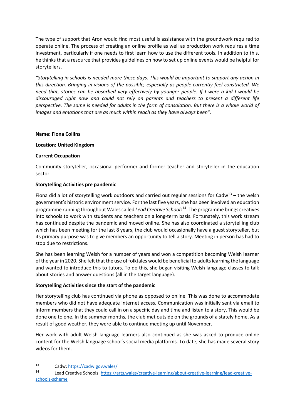The type of support that Aron would find most useful is assistance with the groundwork required to operate online. The process of creating an online profile as well as production work requires a time investment, particularly if one needs to first learn how to use the different tools. In addition to this, he thinks that a resource that provides guidelines on how to set up online events would be helpful for storytellers.

*"Storytelling in schools is needed more these days. This would be important to support any action in this direction. Bringing in visions of the possible, especially as people currently feel constricted. We need that, stories can be absorbed very effectively by younger people. If I were a kid I would be discouraged right now and could not rely on parents and teachers to present a different life perspective. The same is needed for adults in the form of consolation. But there is a whole world of images and emotions that are as much within reach as they have always been".*

#### **Name: Fiona Collins**

#### **Location: United Kingdom**

#### **Current Occupation**

Community storyteller, occasional performer and former teacher and storyteller in the education sector.

#### **Storytelling Activities pre pandemic**

Fiona did a lot of storytelling work outdoors and carried out regular sessions for Cadw<sup>13</sup> – the welsh government's historic environment service. For the last five years, she has been involved an education programme running throughout Wales called *Lead Creative Schools*14. The programme brings creatives into schools to work with students and teachers on a long-term basis. Fortunately, this work stream has continued despite the pandemic and moved online. She has also coordinated a storytelling club which has been meeting for the last 8 years, the club would occasionally have a guest storyteller, but its primary purpose was to give members an opportunity to tell a story. Meeting in person has had to stop due to restrictions.

She has been learning Welsh for a number of years and won a competition becoming Welsh learner of the year in 2020. She felt that the use of folktales would be beneficial to adults learning the language and wanted to introduce this to tutors. To do this, she began visiting Welsh language classes to talk about stories and answer questions (all in the target language).

#### **Storytelling Activities since the start of the pandemic**

Her storytelling club has continued via phone as opposed to online. This was done to accommodate members who did not have adequate internet access. Communication was initially sent via email to inform members that they could call in on a specific day and time and listen to a story. This would be done one to one. In the summer months, the club met outside on the grounds of a stately home. As a result of good weather, they were able to continue meeting up until November.

Her work with adult Welsh language learners also continued as she was asked to produce online content for the Welsh language school's social media platforms. To date, she has made several story videos for them.

<sup>13</sup> Cadw: https://cadw.gov.wales/

<sup>14</sup> Lead Creative Schools: https://arts.wales/creative-learning/about-creative-learning/lead-creativeschools-scheme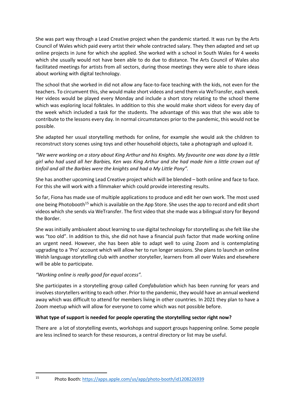She was part way through a Lead Creative project when the pandemic started. It was run by the Arts Council of Wales which paid every artist their whole contracted salary. They then adapted and set up online projects in June for which she applied. She worked with a school in South Wales for 4 weeks which she usually would not have been able to do due to distance. The Arts Council of Wales also facilitated meetings for artists from all sectors, during those meetings they were able to share ideas about working with digital technology.

The school that she worked in did not allow any face-to-face teaching with the kids, not even for the teachers. To circumvent this, she would make short videos and send them via WeTransfer, each week. Her videos would be played every Monday and include a short story relating to the school theme which was exploring local folktales. In addition to this she would make short videos for every day of the week which included a task for the students. The advantage of this was that she was able to contribute to the lessons every day. In normal circumstances prior to the pandemic, this would not be possible.

She adapted her usual storytelling methods for online, for example she would ask the children to reconstruct story scenes using toys and other household objects, take a photograph and upload it.

*"We were working on a story about King Arthur and his Knights. My favourite one was done by a little girl who had used all her Barbies, Ken was King Arthur and she had made him a little crown out of tinfoil and all the Barbies were the knights and had a My Little Pony".*

She has another upcoming Lead Creative project which will be blended – both online and face to face. For this she will work with a filmmaker which could provide interesting results.

So far, Fiona has made use of multiple applications to produce and edit her own work. The most used one being Photobooth<sup>15</sup> which is available on the App Store. She uses the app to record and edit short videos which she sends via WeTransfer. The first video that she made was a bilingual story for Beyond the Border.

She was initially ambivalent about learning to use digital technology for storytelling as she felt like she was "too old". In addition to this, she did not have a financial push factor that made working online an urgent need. However, she has been able to adapt well to using Zoom and is contemplating upgrading to a 'Pro' account which will allow her to run longer sessions. She plans to launch an online Welsh language storytelling club with another storyteller, learners from all over Wales and elsewhere will be able to participate.

#### *"Working online is really good for equal access".*

She participates in a storytelling group called *Comfabulation* which has been running for years and involves storytellers writing to each other. Prior to the pandemic, they would have an annual weekend away which was difficult to attend for members living in other countries. In 2021 they plan to have a Zoom meetup which will allow for everyone to come which was not possible before.

#### **What type of support is needed for people operating the storytelling sector right now?**

There are a lot of storytelling events, workshops and support groups happening online. Some people are less inclined to search for these resources, a central directory or list may be useful.

<sup>15</sup> Photo Booth: https://apps.apple.com/us/app/photo-booth/id1208226939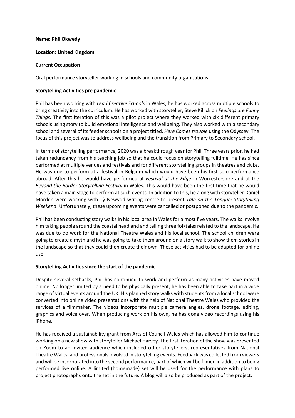#### **Name: Phil Okwedy**

#### **Location: United Kingdom**

#### **Current Occupation**

Oral performance storyteller working in schools and community organisations.

#### **Storytelling Activities pre pandemic**

Phil has been working with *Lead Creative Schools* in Wales, he has worked across multiple schools to bring creativity into the curriculum. He has worked with storyteller, Steve Killick on *Feelings are Funny Things.* The first iteration of this was a pilot project where they worked with six different primary schools using story to build emotional intelligence and wellbeing. They also worked with a secondary school and several of its feeder schools on a project titled, *Here Comes trouble* using the Odyssey. The focus of this project was to address wellbeing and the transition from Primary to Secondary school.

In terms of storytelling performance, 2020 was a breakthrough year for Phil. Three years prior, he had taken redundancy from his teaching job so that he could focus on storytelling fulltime. He has since performed at multiple venues and festivals and for different storytelling groups in theatres and clubs. He was due to perform at a festival in Belgium which would have been his first solo performance abroad. After this he would have performed at *Festival at the Edge* in Worcestershire and at the *Beyond the Border Storytelling Festival* in Wales. This would have been the first time that he would have taken a main stage to perform at such events. In addition to this, he along with storyteller Daniel Morden were working with Tŷ Newydd writing centre to present *Tale on the Tongue: Storytelling Weekend*. Unfortunately, these upcoming events were cancelled or postponed due to the pandemic.

Phil has been conducting story walks in his local area in Wales for almost five years. The walks involve him taking people around the coastal headland and telling three folktales related to the landscape. He was due to do work for the National Theatre Wales and his local school. The school children were going to create a myth and he was going to take them around on a story walk to show them stories in the landscape so that they could then create their own. These activities had to be adapted for online use.

#### **Storytelling Activities since the start of the pandemic**

Despite several setbacks, Phil has continued to work and perform as many activities have moved online. No longer limited by a need to be physically present, he has been able to take part in a wide range of virtual events around the UK. His planned story walks with students from a local school were converted into online video presentations with the help of National Theatre Wales who provided the services of a filmmaker. The videos incorporate multiple camera angles, drone footage, editing, graphics and voice over. When producing work on his own, he has done video recordings using his iPhone.

He has received a sustainability grant from Arts of Council Wales which has allowed him to continue working on a new show with storyteller Michael Harvey. The first iteration of the show was presented on Zoom to an invited audience which included other storytellers, representatives from National Theatre Wales, and professionals involved in storytelling events. Feedback was collected from viewers and will be incorporated into the second performance, part of which will be filmed in addition to being performed live online. A limited (homemade) set will be used for the performance with plans to project photographs onto the set in the future. A blog will also be produced as part of the project.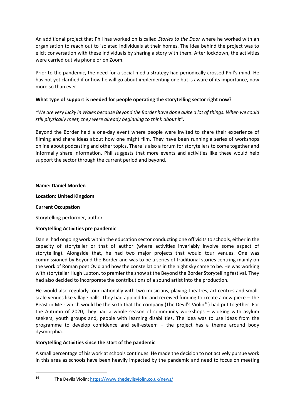An additional project that Phil has worked on is called *Stories to the Door* where he worked with an organisation to reach out to isolated individuals at their homes. The idea behind the project was to elicit conversation with these individuals by sharing a story with them. After lockdown, the activities were carried out via phone or on Zoom.

Prior to the pandemic, the need for a social media strategy had periodically crossed Phil's mind. He has not yet clarified if or how he will go about implementing one but is aware of its importance, now more so than ever.

#### **What type of support is needed for people operating the storytelling sector right now?**

*"We are very lucky in Wales because Beyond the Border have done quite a lot of things. When we could still physically meet, they were already beginning to think about it".*

Beyond the Border held a one-day event where people were invited to share their experience of filming and share ideas about how one might film. They have been running a series of workshops online about podcasting and other topics. There is also a forum for storytellers to come together and informally share information. Phil suggests that more events and activities like these would help support the sector through the current period and beyond.

#### **Name: Daniel Morden**

#### **Location: United Kingdom**

#### **Current Occupation**

Storytelling performer, author

#### **Storytelling Activities pre pandemic**

Daniel had ongoing work within the education sector conducting one off visits to schools, either in the capacity of storyteller or that of author (where activities invariably involve some aspect of storytelling). Alongside that, he had two major projects that would tour venues. One was commissioned by Beyond the Border and was to be a series of traditional stories centring mainly on the work of Roman poet Ovid and how the constellations in the night sky came to be. He was working with storyteller Hugh Lupton, to premier the show at the Beyond the Border Storytelling festival. They had also decided to incorporate the contributions of a sound artist into the production.

He would also regularly tour nationally with two musicians, playing theatres, art centres and smallscale venues like village halls. They had applied for and received funding to create a new piece – The Beast in Me - which would be the sixth that the company (The Devil's Violin<sup>16</sup>) had put together. For the Autumn of 2020, they had a whole season of community workshops – working with asylum seekers, youth groups and, people with learning disabilities. The idea was to use ideas from the programme to develop confidence and self-esteem – the project has a theme around body dysmorphia.

#### **Storytelling Activities since the start of the pandemic**

A small percentage of his work at schools continues. He made the decision to not actively pursue work in this area as schools have been heavily impacted by the pandemic and need to focus on meeting

<sup>16</sup> The Devils Violin: https://www.thedevilsviolin.co.uk/news/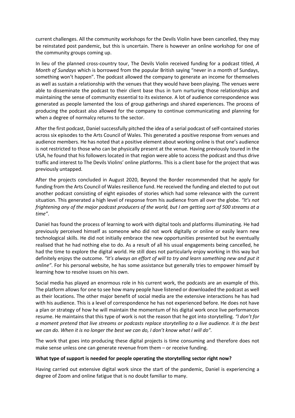current challenges. All the community workshops for the Devils Violin have been cancelled, they may be reinstated post pandemic, but this is uncertain. There is however an online workshop for one of the community groups coming up.

In lieu of the planned cross-country tour, The Devils Violin received funding for a podcast titled, *A Month of Sundays* which is borrowed from the popular British saying "never in a month of Sundays, something won't happen". The podcast allowed the company to generate an income for themselves as well as sustain a relationship with the venues that they would have been playing. The venues were able to disseminate the podcast to their client base thus in turn nurturing those relationships and maintaining the sense of community essential to its existence. A lot of audience correspondence was generated as people lamented the loss of group gatherings and shared experiences. The process of producing the podcast also allowed for the company to continue communicating and planning for when a degree of normalcy returns to the sector.

After the first podcast, Daniel successfully pitched the idea of a serial podcast of self-contained stories across six episodes to the Arts Council of Wales. This generated a positive response from venues and audience members. He has noted that a positive element about working online is that one's audience is not restricted to those who can be physically present at the venue. Having previously toured in the USA, he found that his followers located in that region were able to access the podcast and thus drive traffic and interest to The Devils Violins' online platforms. This is a client base for the project that was previously untapped.

After the projects concluded in August 2020, Beyond the Border recommended that he apply for funding from the Arts Council of Wales resilience fund. He received the funding and elected to put out another podcast consisting of eight episodes of stories which had some relevance with the current situation. This generated a high level of response from his audience from all over the globe. *"It's not frightening any of the major podcast producers of the world, but I am getting sort of 500 streams at a time"*.

Daniel has found the process of learning to work with digital tools and platforms illuminating. He had previously perceived himself as someone who did not work digitally or online or easily learn new technological skills. He did not initially embrace the new opportunities presented but he eventually realised that he had nothing else to do. As a result of all his usual engagements being cancelled, he had the time to explore the digital world. He still does not particularly enjoy working in this way but definitely enjoys the outcome. *"It's always an effort of will to try and learn something new and put it online"*. For his personal website, he has some assistance but generally tries to empower himself by learning how to resolve issues on his own.

Social media has played an enormous role in his current work, the podcasts are an example of this. The platform allows for one to see how many people have listened or downloaded the podcast as well as their locations. The other major benefit of social media are the extensive interactions he has had with his audience. This is a level of correspondence he has not experienced before. He does not have a plan or strategy of how he will maintain the momentum of his digital work once live performances resume. He maintains that this type of work is not the reason that he got into storytelling. *"I don't for a moment pretend that live streams or podcasts replace storytelling to a live audience. It is the best we can do. When it is no longer the best we can do, I don't know what I will do".*

The work that goes into producing these digital projects is time consuming and therefore does not make sense unless one can generate revenue from them – or receive funding.

#### **What type of support is needed for people operating the storytelling sector right now?**

Having carried out extensive digital work since the start of the pandemic, Daniel is experiencing a degree of Zoom and online fatigue that is no doubt familiar to many.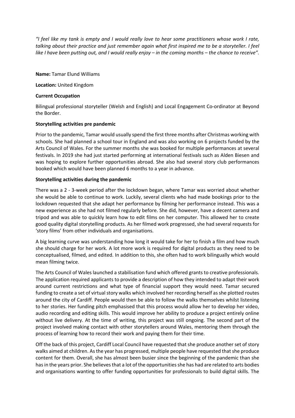*"I feel like my tank is empty and I would really love to hear some practitioners whose work I rate, talking about their practice and just remember again what first inspired me to be a storyteller. I feel like I have been putting out, and I would really enjoy – in the coming months – the chance to receive".*

**Name:** Tamar Elund Williams

**Location:** United Kingdom

#### **Current Occupation**

Bilingual professional storyteller (Welsh and English) and Local Engagement Co-ordinator at Beyond the Border.

#### **Storytelling activities pre pandemic**

Prior to the pandemic, Tamar would usually spend the first three months after Christmas working with schools. She had planned a school tour in England and was also working on 6 projects funded by the Arts Council of Wales. For the summer months she was booked for multiple performances at several festivals. In 2019 she had just started performing at international festivals such as Alden Biesen and was hoping to explore further opportunities abroad. She also had several story club performances booked which would have been planned 6 months to a year in advance.

#### **Storytelling activities during the pandemic**

There was a 2 - 3-week period after the lockdown began, where Tamar was worried about whether she would be able to continue to work. Luckily, several clients who had made bookings prior to the lockdown requested that she adapt her performance by filming her performance instead. This was a new experience as she had not filmed regularly before. She did, however, have a decent camera and tripod and was able to quickly learn how to edit films on her computer. This allowed her to create good quality digital storytelling products. As her filmed work progressed, she had several requests for 'story films' from other individuals and organisations.

A big learning curve was understanding how long it would take for her to finish a film and how much she should charge for her work. A lot more work is required for digital products as they need to be conceptualised, filmed, and edited. In addition to this, she often had to work bilingually which would mean filming twice.

The Arts Council of Wales launched a stabilisation fund which offered grants to creative professionals. The application required applicants to provide a description of how they intended to adapt their work around current restrictions and what type of financial support they would need. Tamar secured funding to create a set of virtual story walks which involved her recording herself as she plotted routes around the city of Cardiff. People would then be able to follow the walks themselves whilst listening to her stories. Her funding pitch emphasised that this process would allow her to develop her video, audio recording and editing skills. This would improve her ability to produce a project entirely online without live delivery. At the time of writing, this project was still ongoing. The second part of the project involved making contact with other storytellers around Wales, mentoring them through the process of learning how to record their work and paying them for their time.

Off the back of this project, Cardiff Local Council have requested that she produce another set of story walks aimed at children. As the year has progressed, multiple people have requested that she produce content for them. Overall, she has almost been busier since the beginning of the pandemic than she has in the years prior. She believes that a lot of the opportunities she has had are related to arts bodies and organisations wanting to offer funding opportunities for professionals to build digital skills. The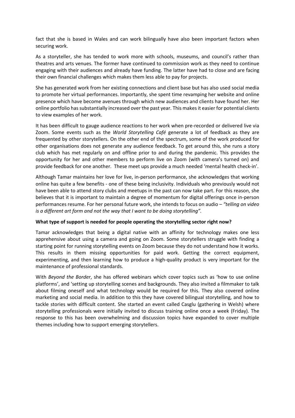fact that she is based in Wales and can work bilingually have also been important factors when securing work.

As a storyteller, she has tended to work more with schools, museums, and council's rather than theatres and arts venues. The former have continued to commission work as they need to continue engaging with their audiences and already have funding. The latter have had to close and are facing their own financial challenges which makes them less able to pay for projects.

She has generated work from her existing connections and client base but has also used social media to promote her virtual performances. Importantly, she spent time revamping her website and online presence which have become avenues through which new audiences and clients have found her. Her online portfolio has substantially increased over the past year. This makes it easier for potential clients to view examples of her work.

It has been difficult to gauge audience reactions to her work when pre-recorded or delivered live via Zoom. Some events such as the *World Storytelling Café* generate a lot of feedback as they are frequented by other storytellers. On the other end of the spectrum, some of the work produced for other organisations does not generate any audience feedback. To get around this, she runs a story club which has met regularly on and offline prior to and during the pandemic. This provides the opportunity for her and other members to perform live on Zoom (with camera's turned on) and provide feedback for one another. These meet ups provide a much needed 'mental health check-in'.

Although Tamar maintains her love for live, in-person performance, she acknowledges that working online has quite a few benefits - one of these being inclusivity. Individuals who previously would not have been able to attend story clubs and meetups in the past can now take part. For this reason, she believes that it is important to maintain a degree of momentum for digital offerings once in-person performances resume. For her personal future work, she intends to focus on audio – *"telling on video is a different art form and not the way that I want to be doing storytelling".*

#### **What type of support is needed for people operating the storytelling sector right now?**

Tamar acknowledges that being a digital native with an affinity for technology makes one less apprehensive about using a camera and going on Zoom. Some storytellers struggle with finding a starting point for running storytelling events on Zoom because they do not understand how it works. This results in them missing opportunities for paid work. Getting the correct equipment, experimenting, and then learning how to produce a high-quality product is very important for the maintenance of professional standards.

With *Beyond the Border*, she has offered webinars which cover topics such as 'how to use online platforms', and 'setting up storytelling scenes and backgrounds. They also invited a filmmaker to talk about filming oneself and what technology would be required for this. They also covered online marketing and social media. In addition to this they have covered bilingual storytelling, and how to tackle stories with difficult content. She started an event called Casglu (gathering in Welsh) where storytelling professionals were initially invited to discuss training online once a week (Friday). The response to this has been overwhelming and discussion topics have expanded to cover multiple themes including how to support emerging storytellers.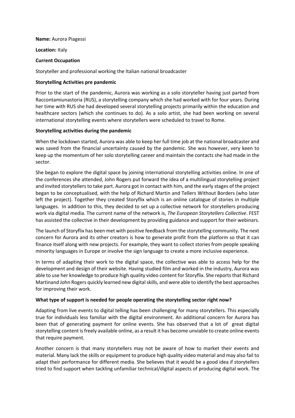#### **Name:** Aurora Piagessi

**Location:** Italy

#### **Current Occupation**

Storyteller and professional working the Italian national broadcaster

#### **Storytelling Activities pre pandemic**

Prior to the start of the pandemic, Aurora was working as a solo storyteller having just parted from Raccontamiunastoria (RUS), a storytelling company which she had worked with for four years. During her time with RUS she had developed several storytelling projects primarily within the education and healthcare sectors (which she continues to do). As a solo artist, she had been working on several international storytelling events where storytellers were scheduled to travel to Rome.

#### **Storytelling activities during the pandemic**

When the lockdown started, Aurora was able to keep her full time job at the national broadcaster and was saved from the financial uncertainty caused by the pandemic. She was however, very keen to keep up the momentum of her solo storytelling career and maintain the contacts she had made in the sector.

She began to explore the digital space by joining international storytelling activities online. In one of the conferences she attended, John Rogers put forward the idea of a multilingual storytelling project and invited storytellers to take part. Aurora got in contact with him, and the early stages of the project began to be conceptualised, with the help of Richard Martin and Tellers Without Borders (who later left the project). Together they created Storyflix which is an online catalogue of stories in multiple languages. In addition to this, they decided to set up a collective network for storytellers producing work via digital media. The current name of the network is, *The European Storytellers Collective*. FEST has assisted the collective in their development by providing guidance and support for their webinars.

The launch of Storyflix has been met with positive feedback from the storytelling community. The next concern for Aurora and its other creators is how to generate profit from the platform so that it can finance itself along with new projects. For example, they want to collect stories from people speaking minority languages in Europe or involve the sign language to create a more inclusive experience.

In terms of adapting their work to the digital space, the collective was able to access help for the development and design of their website. Having studied film and worked in the industry, Aurora was able to use her knowledge to produce high quality video content for Storyflix. She reports that Richard Martinand John Rogers quickly learned new digital skills, and were able to identify the best approaches for improving their work.

#### **What type of support is needed for people operating the storytelling sector right now?**

Adapting from live events to digital telling has been challenging for many storytellers. This especially true for individuals less familiar with the digital environment. An additional concern for Aurora has been that of generating payment for online events. She has observed that a lot of great digital storytelling content is freely available online, as a result it has become unviable to create online events that require payment.

Another concern is that many storytellers may not be aware of how to market their events and material. Many lack the skills or equipment to produce high quality video material and may also fail to adapt their performance for different media. She believes that it would be a good idea if storytellers tried to find support when tackling unfamiliar technical/digital aspects of producing digital work. The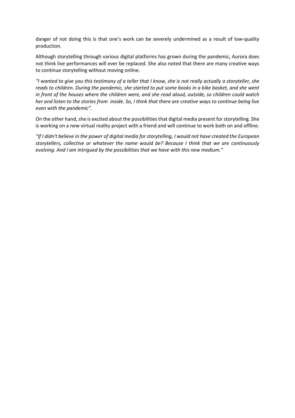danger of not doing this is that one's work can be severely undermined as a result of low-quality production.

Although storytelling through various digital platforms has grown during the pandemic, Aurora does not think live performances will ever be replaced. She also noted that there are many creative ways to continue storytelling without moving online.

*"I wanted to give you this testimony of a teller that I know, she is not really actually a storyteller, she reads to children. During the pandemic, she started to put some books in a bike basket, and she went in front of the houses where the children were, and she read aloud, outside, so children could watch her and listen to the stories from inside. So, I think that there are creative ways to continue being live even with the pandemic".*

On the other hand, she is excited about the possibilities that digital media present for storytelling. She is working on a new virtual reality project with a friend and will continue to work both on and offline.

*"If I didn't believe in the power of digital media for storytelling, I would not have created the European storytellers, collective or whatever the name would be? Because I think that we are continuously evolving. And I am intrigued by the possibilities that we have with this new medium."*